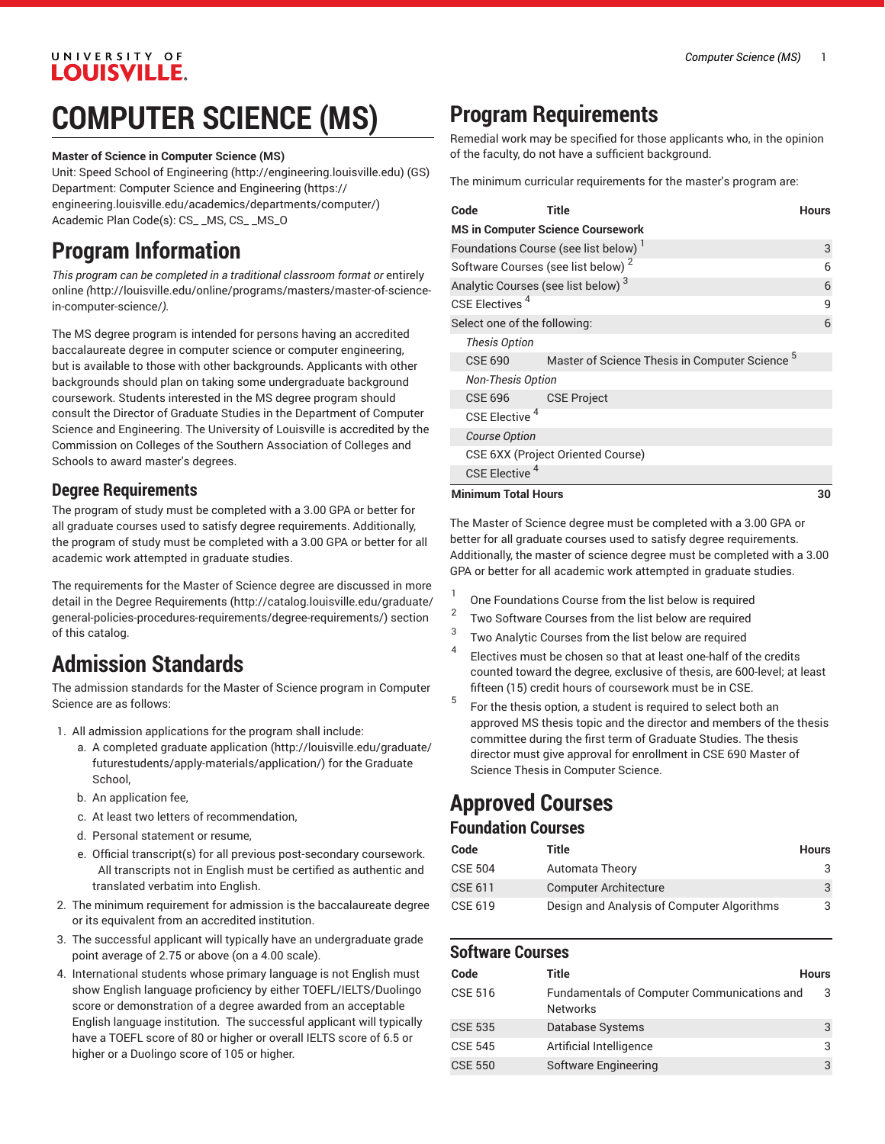#### UNIVERSITY OF **LOUISVILLE.**

## **COMPUTER SCIENCE (MS)**

#### **Master of Science in Computer Science (MS)**

Unit: [Speed School of Engineering](http://engineering.louisville.edu) (<http://engineering.louisville.edu>) (GS) Department: [Computer Science and Engineering](https://engineering.louisville.edu/academics/departments/computer/) [\(https://](https://engineering.louisville.edu/academics/departments/computer/) [engineering.louisville.edu/academics/departments/computer/](https://engineering.louisville.edu/academics/departments/computer/)) Academic Plan Code(s): CS\_ \_MS, CS\_ \_MS\_O

### **Program Information**

*This program can be completed in a traditional classroom format or* [entirely](http://louisville.edu/online/programs/masters/master-of-science-in-computer-science/) [online](http://louisville.edu/online/programs/masters/master-of-science-in-computer-science/) *(*[http://louisville.edu/online/programs/masters/master-of-science](http://louisville.edu/online/programs/masters/master-of-science-in-computer-science/)[in-computer-science/](http://louisville.edu/online/programs/masters/master-of-science-in-computer-science/)*).*

The MS degree program is intended for persons having an accredited baccalaureate degree in computer science or computer engineering, but is available to those with other backgrounds. Applicants with other backgrounds should plan on taking some undergraduate background coursework. Students interested in the MS degree program should consult the Director of Graduate Studies in the Department of Computer Science and Engineering. The University of Louisville is accredited by the Commission on Colleges of the Southern Association of Colleges and Schools to award master's degrees.

#### **Degree Requirements**

The program of study must be completed with a 3.00 GPA or better for all graduate courses used to satisfy degree requirements. Additionally, the program of study must be completed with a 3.00 GPA or better for all academic work attempted in graduate studies.

The requirements for the Master of Science degree are discussed in more detail in the Degree [Requirements](http://catalog.louisville.edu/graduate/general-policies-procedures-requirements/degree-requirements/) ([http://catalog.louisville.edu/graduate/](http://catalog.louisville.edu/graduate/general-policies-procedures-requirements/degree-requirements/) [general-policies-procedures-requirements/degree-requirements/\)](http://catalog.louisville.edu/graduate/general-policies-procedures-requirements/degree-requirements/) section of this catalog.

### **Admission Standards**

The admission standards for the Master of Science program in Computer Science are as follows:

- 1. All admission applications for the program shall include:
	- a. A completed [graduate application](http://louisville.edu/graduate/futurestudents/apply-materials/application/) ([http://louisville.edu/graduate/](http://louisville.edu/graduate/futurestudents/apply-materials/application/) [futurestudents/apply-materials/application/\)](http://louisville.edu/graduate/futurestudents/apply-materials/application/) for the Graduate School,
	- b. An application fee,
	- c. At least two letters of recommendation,
	- d. Personal statement or resume,
	- e. Official transcript(s) for all previous post-secondary coursework. All transcripts not in English must be certified as authentic and translated verbatim into English.
- 2. The minimum requirement for admission is the baccalaureate degree or its equivalent from an accredited institution.
- 3. The successful applicant will typically have an undergraduate grade point average of 2.75 or above (on a 4.00 scale).
- 4. International students whose primary language is not English must show English language proficiency by either TOEFL/IELTS/Duolingo score or demonstration of a degree awarded from an acceptable English language institution. The successful applicant will typically have a TOEFL score of 80 or higher or overall IELTS score of 6.5 or higher or a Duolingo score of 105 or higher.

## **Program Requirements**

Remedial work may be specified for those applicants who, in the opinion of the faculty, do not have a sufficient background.

The minimum curricular requirements for the master's program are:

| Code                                             | Title                                                     | <b>Hours</b> |
|--------------------------------------------------|-----------------------------------------------------------|--------------|
|                                                  | <b>MS in Computer Science Coursework</b>                  |              |
| Foundations Course (see list below) <sup>1</sup> |                                                           |              |
| Software Courses (see list below) <sup>2</sup>   |                                                           |              |
| Analytic Courses (see list below) <sup>3</sup>   |                                                           | 6            |
| CSE Electives <sup>4</sup>                       |                                                           |              |
| Select one of the following:                     |                                                           | 6            |
| <b>Thesis Option</b>                             |                                                           |              |
| CSE 690                                          | Master of Science Thesis in Computer Science <sup>5</sup> |              |
| <b>Non-Thesis Option</b>                         |                                                           |              |
| <b>CSE 696</b>                                   | <b>CSE Project</b>                                        |              |
| CSE Elective <sup>4</sup>                        |                                                           |              |
| <b>Course Option</b>                             |                                                           |              |
|                                                  | CSE 6XX (Project Oriented Course)                         |              |
| CSE Elective <sup>4</sup>                        |                                                           |              |
| <b>Minimum Total Hours</b>                       |                                                           | 30           |

The Master of Science degree must be completed with a 3.00 GPA or better for all graduate courses used to satisfy degree requirements. Additionally, the master of science degree must be completed with a 3.00 GPA or better for all academic work attempted in graduate studies.

- 1 One Foundations Course from the list below is required
- 2 Two Software Courses from the list below are required
- 3 Two Analytic Courses from the list below are required
- 4 Electives must be chosen so that at least one-half of the credits counted toward the degree, exclusive of thesis, are 600-level; at least fifteen (15) credit hours of coursework must be in CSE.
- 5 For the thesis option, a student is required to select both an approved MS thesis topic and the director and members of the thesis committee during the first term of Graduate Studies. The thesis director must give approval for enrollment in CSE 690 Master of Science Thesis in Computer Science.

### **Approved Courses**

### **Foundation Courses**

| Code           | Title                                      | <b>Hours</b> |
|----------------|--------------------------------------------|--------------|
| <b>CSE 504</b> | <b>Automata Theory</b>                     |              |
| CSE 611        | <b>Computer Architecture</b>               | 3            |
| CSE 619        | Design and Analysis of Computer Algorithms | 3            |

#### **Software Courses**

| Code           | Title                                                          | <b>Hours</b> |
|----------------|----------------------------------------------------------------|--------------|
| CSE 516        | Fundamentals of Computer Communications and<br><b>Networks</b> |              |
| <b>CSE 535</b> | Database Systems                                               | 3            |
| <b>CSE 545</b> | Artificial Intelligence                                        |              |
| <b>CSE 550</b> | Software Engineering                                           | 3            |